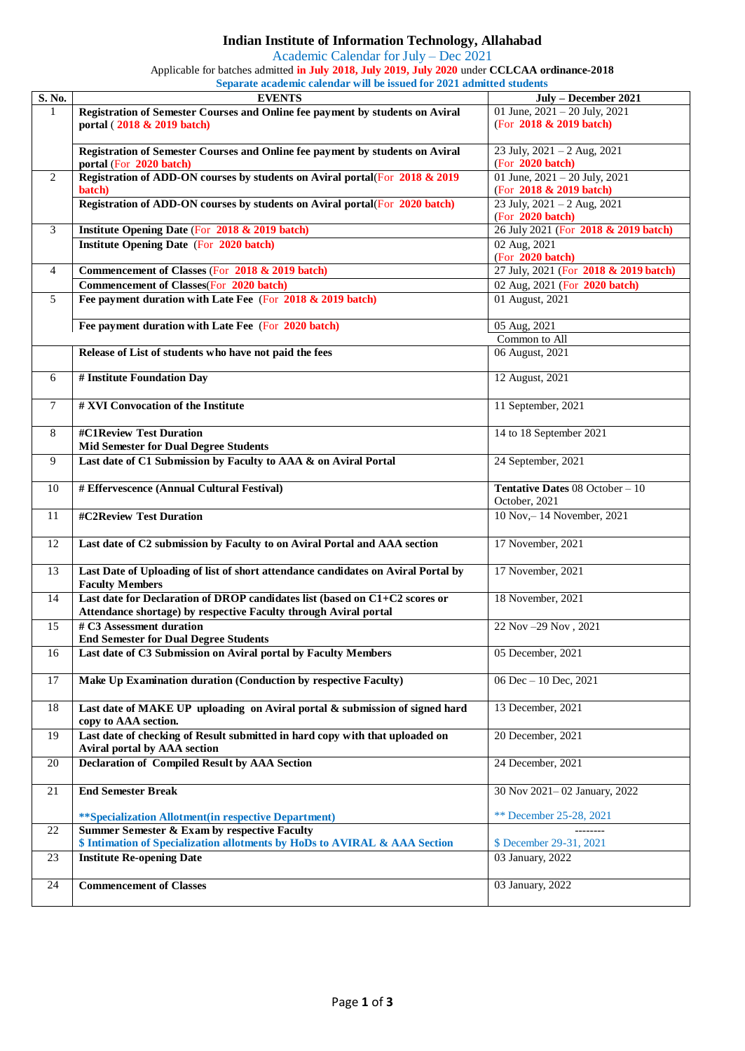## **Indian Institute of Information Technology, Allahabad**

Academic Calendar for July – Dec 2021

Applicable for batches admitted **in July 2018, July 2019, July 2020** under **CCLCAA ordinance-2018**

| Separate academic calendar will be issued for 2021 admitted students |                                                                                                          |                                                     |  |  |
|----------------------------------------------------------------------|----------------------------------------------------------------------------------------------------------|-----------------------------------------------------|--|--|
| S. No.                                                               | <b>EVENTS</b>                                                                                            | July - December 2021                                |  |  |
| 1                                                                    | Registration of Semester Courses and Online fee payment by students on Aviral                            | 01 June, $2021 - 20$ July, $2021$                   |  |  |
|                                                                      | portal (2018 & 2019 batch)                                                                               | (For 2018 & 2019 batch)                             |  |  |
|                                                                      |                                                                                                          |                                                     |  |  |
|                                                                      | Registration of Semester Courses and Online fee payment by students on Aviral<br>portal (For 2020 batch) | 23 July, $2021 - 2$ Aug, $2021$<br>(For 2020 batch) |  |  |
| 2                                                                    | Registration of ADD-ON courses by students on Aviral portal(For 2018 & 2019                              | 01 June, $2021 - 20$ July, $2021$                   |  |  |
|                                                                      | batch)                                                                                                   | (For 2018 & 2019 batch)                             |  |  |
|                                                                      | Registration of ADD-ON courses by students on Aviral portal(For 2020 batch)                              | 23 July, $2021 - 2$ Aug, $2021$                     |  |  |
|                                                                      |                                                                                                          | (For 2020 batch)                                    |  |  |
| 3                                                                    | Institute Opening Date (For 2018 & 2019 batch)                                                           | 26 July 2021 (For 2018 & 2019 batch)                |  |  |
|                                                                      | <b>Institute Opening Date (For 2020 batch)</b>                                                           | 02 Aug, 2021                                        |  |  |
|                                                                      |                                                                                                          | (For 2020 batch)                                    |  |  |
| $\overline{4}$                                                       | Commencement of Classes (For 2018 & 2019 batch)                                                          | 27 July, 2021 (For 2018 & 2019 batch)               |  |  |
|                                                                      | <b>Commencement of Classes(For 2020 batch)</b>                                                           | 02 Aug, 2021 (For 2020 batch)                       |  |  |
| 5                                                                    | Fee payment duration with Late Fee (For 2018 & 2019 batch)                                               | 01 August, 2021                                     |  |  |
|                                                                      |                                                                                                          |                                                     |  |  |
|                                                                      | Fee payment duration with Late Fee (For 2020 batch)                                                      | 05 Aug, 2021                                        |  |  |
|                                                                      |                                                                                                          | Common to All                                       |  |  |
|                                                                      | Release of List of students who have not paid the fees                                                   | 06 August, 2021                                     |  |  |
| 6                                                                    | # Institute Foundation Day                                                                               | 12 August, 2021                                     |  |  |
|                                                                      |                                                                                                          |                                                     |  |  |
| $\overline{7}$                                                       | # XVI Convocation of the Institute                                                                       | 11 September, $2021$                                |  |  |
|                                                                      |                                                                                                          |                                                     |  |  |
| 8                                                                    | #C1Review Test Duration                                                                                  | 14 to 18 September 2021                             |  |  |
|                                                                      | <b>Mid Semester for Dual Degree Students</b>                                                             |                                                     |  |  |
| 9                                                                    | Last date of C1 Submission by Faculty to AAA & on Aviral Portal                                          | 24 September, 2021                                  |  |  |
|                                                                      |                                                                                                          |                                                     |  |  |
| 10                                                                   | # Effervescence (Annual Cultural Festival)                                                               | Tentative Dates 08 October - 10                     |  |  |
|                                                                      |                                                                                                          | October, 2021                                       |  |  |
| 11                                                                   | #C2Review Test Duration                                                                                  | 10 Nov,-14 November, 2021                           |  |  |
|                                                                      |                                                                                                          |                                                     |  |  |
| 12                                                                   | Last date of C2 submission by Faculty to on Aviral Portal and AAA section                                | 17 November, 2021                                   |  |  |
| 13                                                                   | Last Date of Uploading of list of short attendance candidates on Aviral Portal by                        | 17 November, 2021                                   |  |  |
|                                                                      | <b>Faculty Members</b>                                                                                   |                                                     |  |  |
| 14                                                                   | Last date for Declaration of DROP candidates list (based on C1+C2 scores or                              | 18 November, 2021                                   |  |  |
|                                                                      | Attendance shortage) by respective Faculty through Aviral portal                                         |                                                     |  |  |
| 15                                                                   | # C3 Assessment duration                                                                                 | 22 Nov - 29 Nov, 2021                               |  |  |
|                                                                      | <b>End Semester for Dual Degree Students</b>                                                             |                                                     |  |  |
| 16                                                                   | Last date of C3 Submission on Aviral portal by Faculty Members                                           | 05 December, 2021                                   |  |  |
|                                                                      |                                                                                                          |                                                     |  |  |
| 17                                                                   | Make Up Examination duration (Conduction by respective Faculty)                                          | 06 Dec - 10 Dec, 2021                               |  |  |
|                                                                      |                                                                                                          |                                                     |  |  |
| 18                                                                   | Last date of MAKE UP uploading on Aviral portal & submission of signed hard                              | 13 December, 2021                                   |  |  |
|                                                                      | copy to AAA section.                                                                                     |                                                     |  |  |
| 19                                                                   | Last date of checking of Result submitted in hard copy with that uploaded on                             | 20 December, 2021                                   |  |  |
|                                                                      | Aviral portal by AAA section                                                                             |                                                     |  |  |
| 20                                                                   | <b>Declaration of Compiled Result by AAA Section</b>                                                     | 24 December, 2021                                   |  |  |
| 21                                                                   | <b>End Semester Break</b>                                                                                | 30 Nov 2021-02 January, 2022                        |  |  |
|                                                                      |                                                                                                          |                                                     |  |  |
|                                                                      | ** Specialization Allotment (in respective Department)                                                   | ** December 25-28, 2021                             |  |  |
| 22                                                                   | <b>Summer Semester &amp; Exam by respective Faculty</b>                                                  |                                                     |  |  |
|                                                                      | \$ Intimation of Specialization allotments by HoDs to AVIRAL & AAA Section                               | \$ December 29-31, 2021                             |  |  |
| 23                                                                   | <b>Institute Re-opening Date</b>                                                                         | 03 January, 2022                                    |  |  |
|                                                                      |                                                                                                          |                                                     |  |  |
| 24                                                                   | <b>Commencement of Classes</b>                                                                           | 03 January, 2022                                    |  |  |
|                                                                      |                                                                                                          |                                                     |  |  |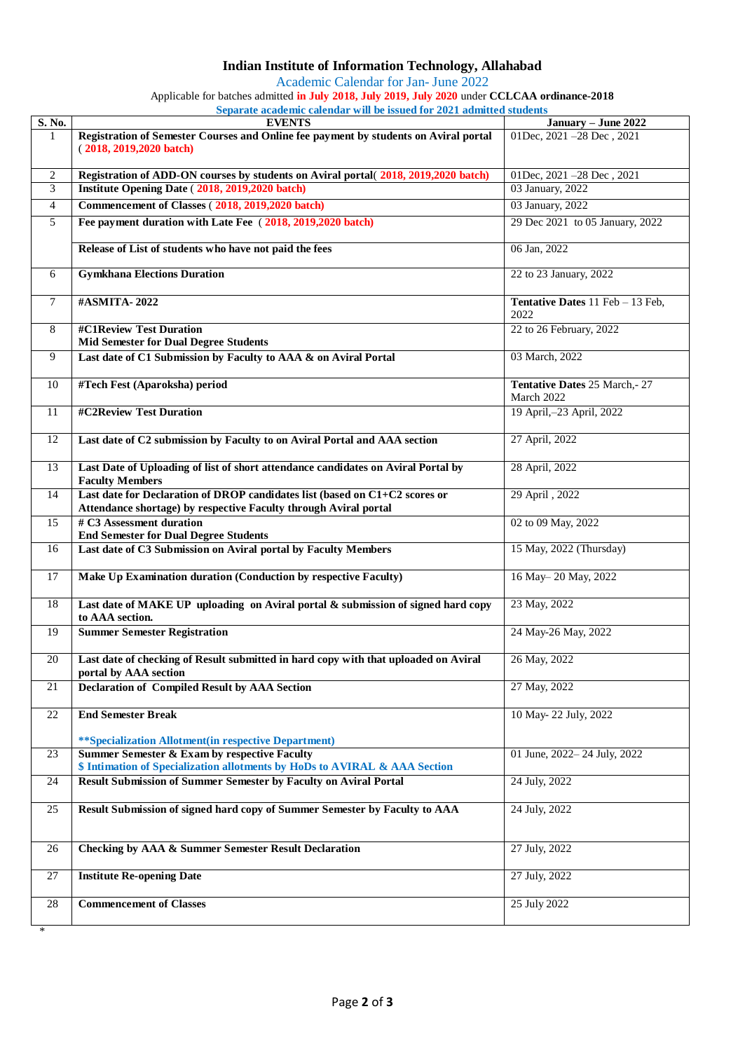## **Indian Institute of Information Technology, Allahabad**

Academic Calendar for Jan- June 2022

Applicable for batches admitted **in July 2018, July 2019, July 2020** under **CCLCAA ordinance-2018**

**Separate academic calendar will be issued for 2021 admitted students**

| S. No.  | <b>EVENTS</b>                                                                                                                                   | January - June 2022                             |
|---------|-------------------------------------------------------------------------------------------------------------------------------------------------|-------------------------------------------------|
| 1       | Registration of Semester Courses and Online fee payment by students on Aviral portal<br>$(2018, 2019, 2020$ batch)                              | 01Dec, 2021 -28 Dec, 2021                       |
| 2       | Registration of ADD-ON courses by students on Aviral portal(2018, 2019, 2020 batch)                                                             | 01Dec, 2021 - 28 Dec, 2021                      |
| 3       | Institute Opening Date (2018, 2019, 2020 batch)                                                                                                 | 03 January, 2022                                |
| 4       | Commencement of Classes (2018, 2019, 2020 batch)                                                                                                | 03 January, 2022                                |
|         | Fee payment duration with Late Fee (2018, 2019, 2020 batch)                                                                                     |                                                 |
| 5       | Release of List of students who have not paid the fees                                                                                          | 29 Dec 2021 to 05 January, 2022<br>06 Jan, 2022 |
|         |                                                                                                                                                 |                                                 |
| 6       | <b>Gymkhana Elections Duration</b>                                                                                                              | 22 to 23 January, 2022                          |
| $\tau$  | #ASMITA-2022                                                                                                                                    | Tentative Dates 11 Feb - 13 Feb,<br>2022        |
| 8       | #C1Review Test Duration<br><b>Mid Semester for Dual Degree Students</b>                                                                         | 22 to 26 February, 2022                         |
| 9       | Last date of C1 Submission by Faculty to AAA & on Aviral Portal                                                                                 | 03 March, 2022                                  |
| 10      | #Tech Fest (Aparoksha) period                                                                                                                   | Tentative Dates 25 March,-27<br>March 2022      |
| 11      | #C2Review Test Duration                                                                                                                         | 19 April,-23 April, 2022                        |
| 12      | Last date of C2 submission by Faculty to on Aviral Portal and AAA section                                                                       | 27 April, 2022                                  |
| 13      | Last Date of Uploading of list of short attendance candidates on Aviral Portal by<br><b>Faculty Members</b>                                     | 28 April, 2022                                  |
| 14      | Last date for Declaration of DROP candidates list (based on C1+C2 scores or<br>Attendance shortage) by respective Faculty through Aviral portal | 29 April, 2022                                  |
| 15      | # C3 Assessment duration<br><b>End Semester for Dual Degree Students</b>                                                                        | 02 to 09 May, 2022                              |
| 16      | Last date of C3 Submission on Aviral portal by Faculty Members                                                                                  | 15 May, 2022 (Thursday)                         |
| 17      | Make Up Examination duration (Conduction by respective Faculty)                                                                                 | 16 May-20 May, 2022                             |
| 18      | Last date of MAKE UP uploading on Aviral portal & submission of signed hard copy<br>to AAA section.                                             | 23 May, 2022                                    |
| 19      | <b>Summer Semester Registration</b>                                                                                                             | 24 May-26 May, 2022                             |
| 20      | Last date of checking of Result submitted in hard copy with that uploaded on Aviral<br>portal by AAA section                                    | 26 May, 2022                                    |
| 21      | <b>Declaration of Compiled Result by AAA Section</b>                                                                                            | 27 May, 2022                                    |
| $22\,$  | <b>End Semester Break</b>                                                                                                                       | 10 May-22 July, 2022                            |
|         | **Specialization Allotment(in respective Department)                                                                                            |                                                 |
| 23      | <b>Summer Semester &amp; Exam by respective Faculty</b><br>\$ Intimation of Specialization allotments by HoDs to AVIRAL & AAA Section           | 01 June, 2022-24 July, 2022                     |
| 24      | <b>Result Submission of Summer Semester by Faculty on Aviral Portal</b>                                                                         | 24 July, 2022                                   |
| 25      | Result Submission of signed hard copy of Summer Semester by Faculty to AAA                                                                      | 24 July, 2022                                   |
| 26      | <b>Checking by AAA &amp; Summer Semester Result Declaration</b>                                                                                 | 27 July, 2022                                   |
| 27      | <b>Institute Re-opening Date</b>                                                                                                                | 27 July, 2022                                   |
| 28<br>∗ | <b>Commencement of Classes</b>                                                                                                                  | 25 July 2022                                    |